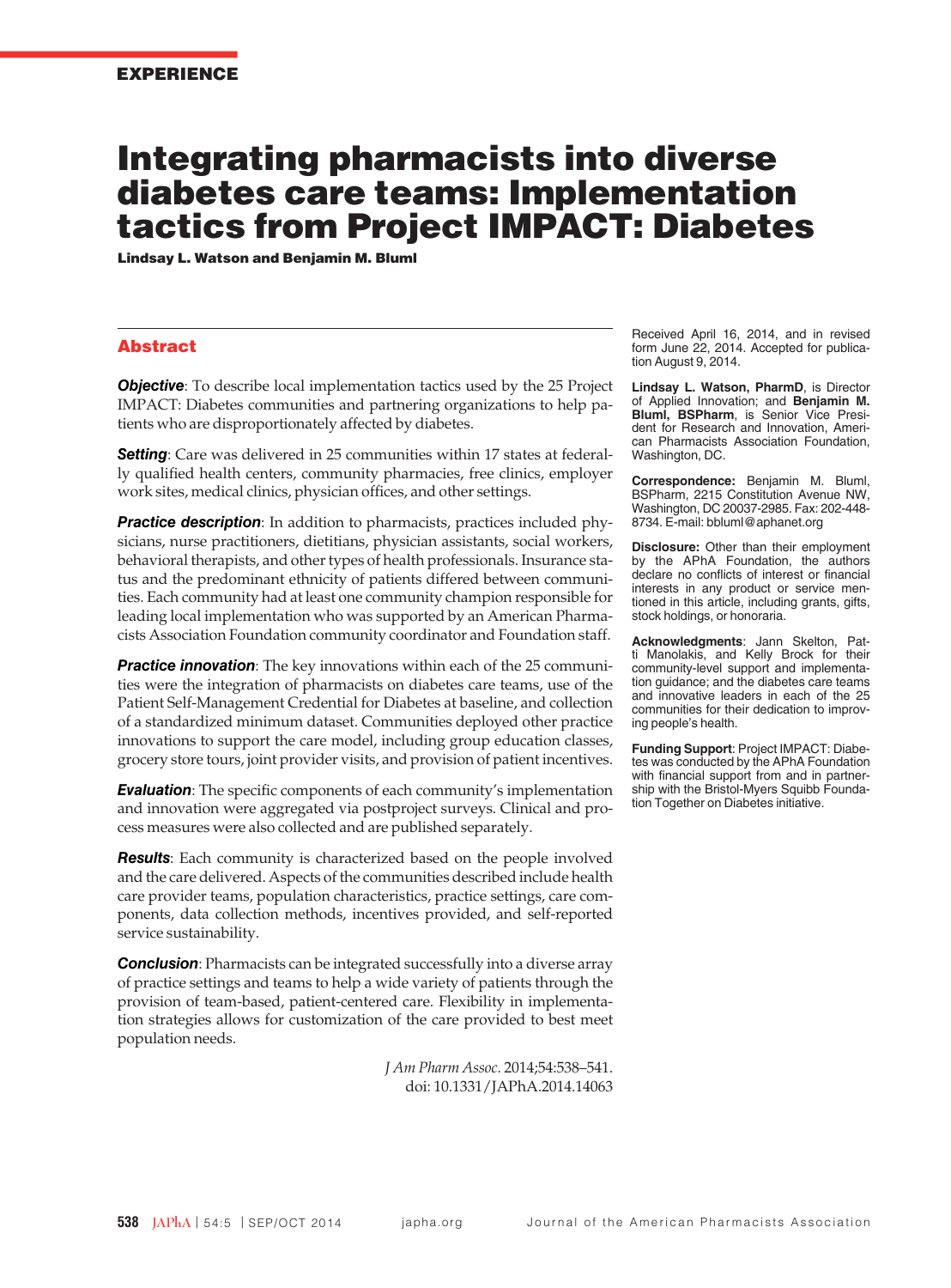# Integrating pharmacists into diverse diabetes care teams: Implementation tactics from Project IMPACT: Diabetes

Lindsay L. Watson and Benjamin M. Bluml

### Abstract

**Objective**: To describe local implementation tactics used by the 25 Project IMPACT: Diabetes communities and partnering organizations to help patients who are disproportionately affected by diabetes.

**Setting**: Care was delivered in 25 communities within 17 states at federally qualified health centers, community pharmacies, free clinics, employer work sites, medical clinics, physician offices, and other settings.

**Practice description**: In addition to pharmacists, practices included physicians, nurse practitioners, dietitians, physician assistants, social workers, behavioral therapists, and other types of health professionals. Insurance status and the predominant ethnicity of patients differed between communities. Each community had at least one community champion responsible for leading local implementation who was supported by an American Pharmacists Association Foundation community coordinator and Foundation staff.

**Practice innovation**: The key innovations within each of the 25 communities were the integration of pharmacists on diabetes care teams, use of the Patient Self-Management Credential for Diabetes at baseline, and collection of a standardized minimum dataset. Communities deployed other practice innovations to support the care model, including group education classes, grocery store tours, joint provider visits, and provision of patient incentives.

*Evaluation*: The specific components of each community's implementation and innovation were aggregated via postproject surveys. Clinical and process measures were also collected and are published separately.

*Results*: Each community is characterized based on the people involved and the care delivered. Aspects of the communities described include health care provider teams, population characteristics, practice settings, care components, data collection methods, incentives provided, and self-reported service sustainability.

**Conclusion**: Pharmacists can be integrated successfully into a diverse array of practice settings and teams to help a wide variety of patients through the provision of team-based, patient-centered care. Flexibility in implementation strategies allows for customization of the care provided to best meet population needs.

> *J Am Pharm Assoc.* 2014;54:538–541. doi: 10.1331/JAPhA.2014.14063

Received April 16, 2014, and in revised form June 22, 2014. Accepted for publication August 9, 2014.

**Lindsay L. Watson, PharmD**, is Director of Applied Innovation; and **Benjamin M. Bluml, BSPharm**, is Senior Vice President for Research and Innovation, American Pharmacists Association Foundation, Washington, DC.

**Correspondence:** Benjamin M. Bluml, BSPharm, 2215 Constitution Avenue NW, Washington, DC 20037-2985. Fax: 202-448- 8734. E-mail: bbluml@aphanet.org

**Disclosure:** Other than their employment by the APhA Foundation, the authors declare no conflicts of interest or financial interests in any product or service mentioned in this article, including grants, gifts, stock holdings, or honoraria.

**Acknowledgments**: Jann Skelton, Patti Manolakis, and Kelly Brock for their community-level support and implementation guidance; and the diabetes care teams and innovative leaders in each of the 25 communities for their dedication to improving people's health.

**Funding Support**: Project IMPACT: Diabetes was conducted by the APhA Foundation with financial support from and in partnership with the Bristol-Myers Squibb Foundation Together on Diabetes initiative.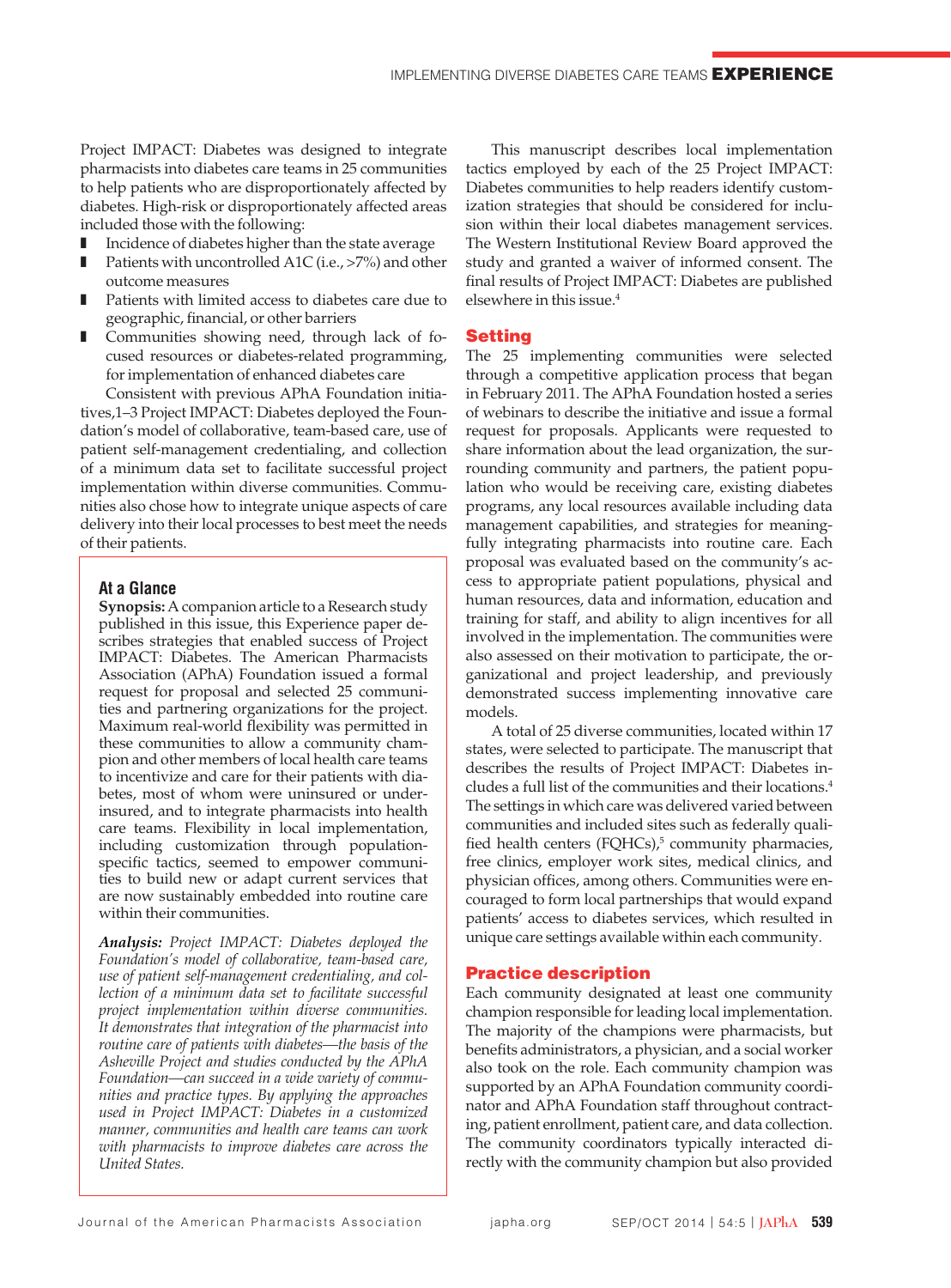Project IMPACT: Diabetes was designed to integrate pharmacists into diabetes care teams in 25 communities to help patients who are disproportionately affected by diabetes. High-risk or disproportionately affected areas included those with the following:

- Incidence of diabetes higher than the state average
- Patients with uncontrolled A1C (i.e., >7%) and other outcome measures
- Patients with limited access to diabetes care due to geographic, financial, or other barriers
- Communities showing need, through lack of focused resources or diabetes-related programming, for implementation of enhanced diabetes care

Consistent with previous APhA Foundation initiatives,1–3 Project IMPACT: Diabetes deployed the Foundation's model of collaborative, team-based care, use of patient self-management credentialing, and collection of a minimum data set to facilitate successful project implementation within diverse communities. Communities also chose how to integrate unique aspects of care delivery into their local processes to best meet the needs of their patients.

# **At a Glance**

**Synopsis:** A companion article to a Research study published in this issue, this Experience paper describes strategies that enabled success of Project IMPACT: Diabetes. The American Pharmacists Association (APhA) Foundation issued a formal request for proposal and selected 25 communities and partnering organizations for the project. Maximum real-world flexibility was permitted in these communities to allow a community champion and other members of local health care teams to incentivize and care for their patients with diabetes, most of whom were uninsured or underinsured, and to integrate pharmacists into health care teams. Flexibility in local implementation, including customization through populationspecific tactics, seemed to empower communities to build new or adapt current services that are now sustainably embedded into routine care within their communities.

*Analysis: Project IMPACT: Diabetes deployed the Foundation's model of collaborative, team-based care, use of patient self-management credentialing, and collection of a minimum data set to facilitate successful project implementation within diverse communities. It demonstrates that integration of the pharmacist into routine care of patients with diabetes—the basis of the Asheville Project and studies conducted by the APhA Foundation—can succeed in a wide variety of communities and practice types. By applying the approaches used in Project IMPACT: Diabetes in a customized manner, communities and health care teams can work with pharmacists to improve diabetes care across the United States.*

This manuscript describes local implementation tactics employed by each of the 25 Project IMPACT: Diabetes communities to help readers identify customization strategies that should be considered for inclusion within their local diabetes management services. The Western Institutional Review Board approved the study and granted a waiver of informed consent. The final results of Project IMPACT: Diabetes are published elsewhere in this issue.4

# Setting

The 25 implementing communities were selected through a competitive application process that began in February 2011. The APhA Foundation hosted a series of webinars to describe the initiative and issue a formal request for proposals. Applicants were requested to share information about the lead organization, the surrounding community and partners, the patient population who would be receiving care, existing diabetes programs, any local resources available including data management capabilities, and strategies for meaningfully integrating pharmacists into routine care. Each proposal was evaluated based on the community's access to appropriate patient populations, physical and human resources, data and information, education and training for staff, and ability to align incentives for all involved in the implementation. The communities were also assessed on their motivation to participate, the organizational and project leadership, and previously demonstrated success implementing innovative care models.

A total of 25 diverse communities, located within 17 states, were selected to participate. The manuscript that describes the results of Project IMPACT: Diabetes includes a full list of the communities and their locations.4 The settings in which care was delivered varied between communities and included sites such as federally qualified health centers (FQHCs),<sup>5</sup> community pharmacies, free clinics, employer work sites, medical clinics, and physician offices, among others. Communities were encouraged to form local partnerships that would expand patients' access to diabetes services, which resulted in unique care settings available within each community.

### Practice description

Each community designated at least one community champion responsible for leading local implementation. The majority of the champions were pharmacists, but benefits administrators, a physician, and a social worker also took on the role. Each community champion was supported by an APhA Foundation community coordinator and APhA Foundation staff throughout contracting, patient enrollment, patient care, and data collection. The community coordinators typically interacted directly with the community champion but also provided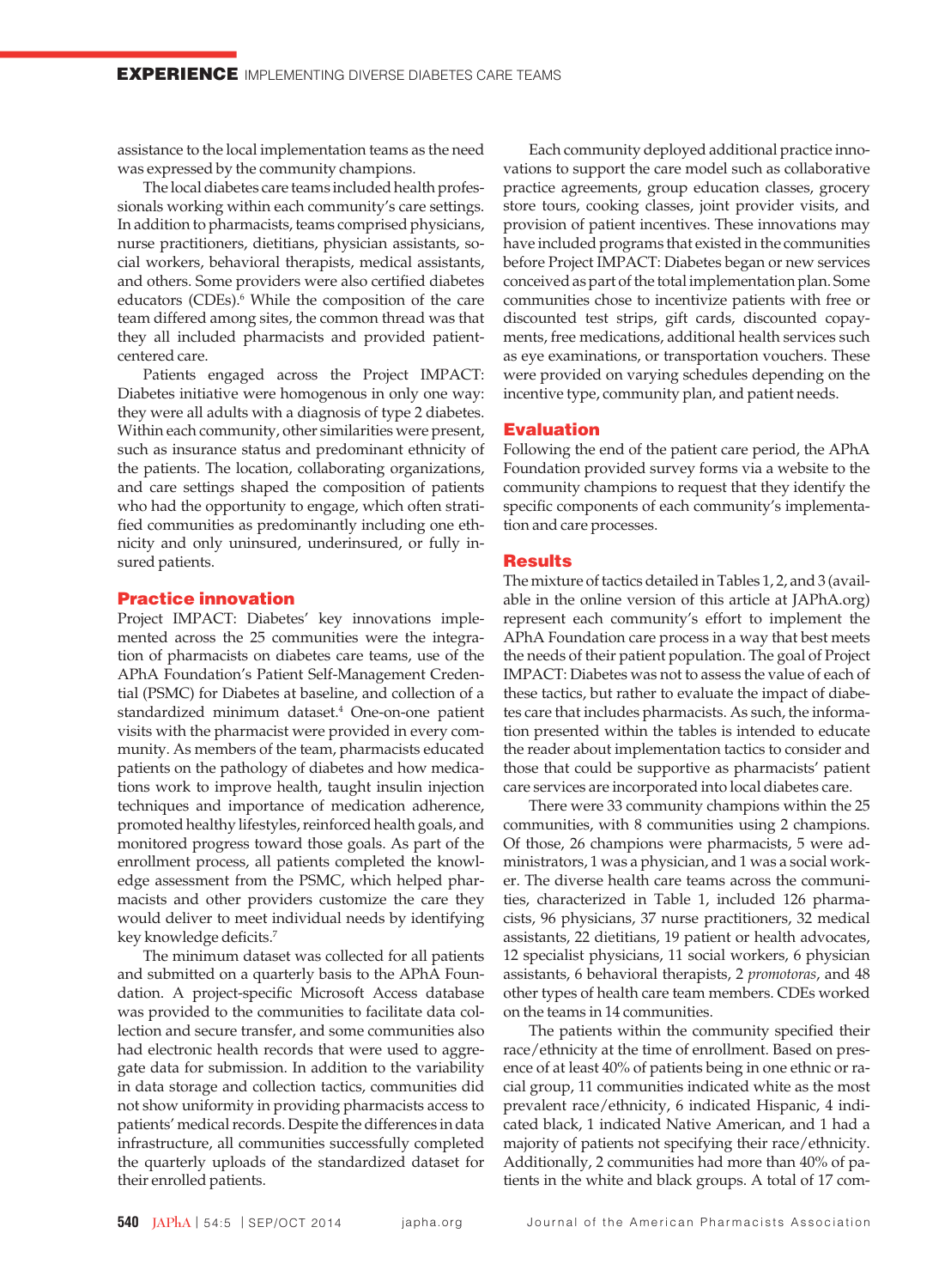assistance to the local implementation teams as the need was expressed by the community champions.

The local diabetes care teams included health professionals working within each community's care settings. In addition to pharmacists, teams comprised physicians, nurse practitioners, dietitians, physician assistants, social workers, behavioral therapists, medical assistants, and others. Some providers were also certified diabetes educators (CDEs).<sup>6</sup> While the composition of the care team differed among sites, the common thread was that they all included pharmacists and provided patientcentered care.

Patients engaged across the Project IMPACT: Diabetes initiative were homogenous in only one way: they were all adults with a diagnosis of type 2 diabetes. Within each community, other similarities were present, such as insurance status and predominant ethnicity of the patients. The location, collaborating organizations, and care settings shaped the composition of patients who had the opportunity to engage, which often stratified communities as predominantly including one ethnicity and only uninsured, underinsured, or fully insured patients.

# Practice innovation

Project IMPACT: Diabetes' key innovations implemented across the 25 communities were the integration of pharmacists on diabetes care teams, use of the APhA Foundation's Patient Self-Management Credential (PSMC) for Diabetes at baseline, and collection of a standardized minimum dataset.<sup>4</sup> One-on-one patient visits with the pharmacist were provided in every community. As members of the team, pharmacists educated patients on the pathology of diabetes and how medications work to improve health, taught insulin injection techniques and importance of medication adherence, promoted healthy lifestyles, reinforced health goals, and monitored progress toward those goals. As part of the enrollment process, all patients completed the knowledge assessment from the PSMC, which helped pharmacists and other providers customize the care they would deliver to meet individual needs by identifying key knowledge deficits.7

The minimum dataset was collected for all patients and submitted on a quarterly basis to the APhA Foundation. A project-specific Microsoft Access database was provided to the communities to facilitate data collection and secure transfer, and some communities also had electronic health records that were used to aggregate data for submission. In addition to the variability in data storage and collection tactics, communities did not show uniformity in providing pharmacists access to patients' medical records. Despite the differences in data infrastructure, all communities successfully completed the quarterly uploads of the standardized dataset for their enrolled patients.

Each community deployed additional practice innovations to support the care model such as collaborative practice agreements, group education classes, grocery store tours, cooking classes, joint provider visits, and provision of patient incentives. These innovations may have included programs that existed in the communities before Project IMPACT: Diabetes began or new services conceived as part of the total implementation plan. Some communities chose to incentivize patients with free or discounted test strips, gift cards, discounted copayments, free medications, additional health services such as eye examinations, or transportation vouchers. These were provided on varying schedules depending on the incentive type, community plan, and patient needs.

# Evaluation

Following the end of the patient care period, the APhA Foundation provided survey forms via a website to the community champions to request that they identify the specific components of each community's implementation and care processes.

#### Results

The mixture of tactics detailed in Tables 1, 2, and 3 (available in the online version of this article at JAPhA.org) represent each community's effort to implement the APhA Foundation care process in a way that best meets the needs of their patient population. The goal of Project IMPACT: Diabetes was not to assess the value of each of these tactics, but rather to evaluate the impact of diabetes care that includes pharmacists. As such, the information presented within the tables is intended to educate the reader about implementation tactics to consider and those that could be supportive as pharmacists' patient care services are incorporated into local diabetes care.

There were 33 community champions within the 25 communities, with 8 communities using 2 champions. Of those, 26 champions were pharmacists, 5 were administrators, 1 was a physician, and 1 was a social worker. The diverse health care teams across the communities, characterized in Table 1, included 126 pharmacists, 96 physicians, 37 nurse practitioners, 32 medical assistants, 22 dietitians, 19 patient or health advocates, 12 specialist physicians, 11 social workers, 6 physician assistants, 6 behavioral therapists, 2 *promotoras*, and 48 other types of health care team members. CDEs worked on the teams in 14 communities.

The patients within the community specified their race/ethnicity at the time of enrollment. Based on presence of at least 40% of patients being in one ethnic or racial group, 11 communities indicated white as the most prevalent race/ethnicity, 6 indicated Hispanic, 4 indicated black, 1 indicated Native American, and 1 had a majority of patients not specifying their race/ethnicity. Additionally, 2 communities had more than 40% of patients in the white and black groups. A total of 17 com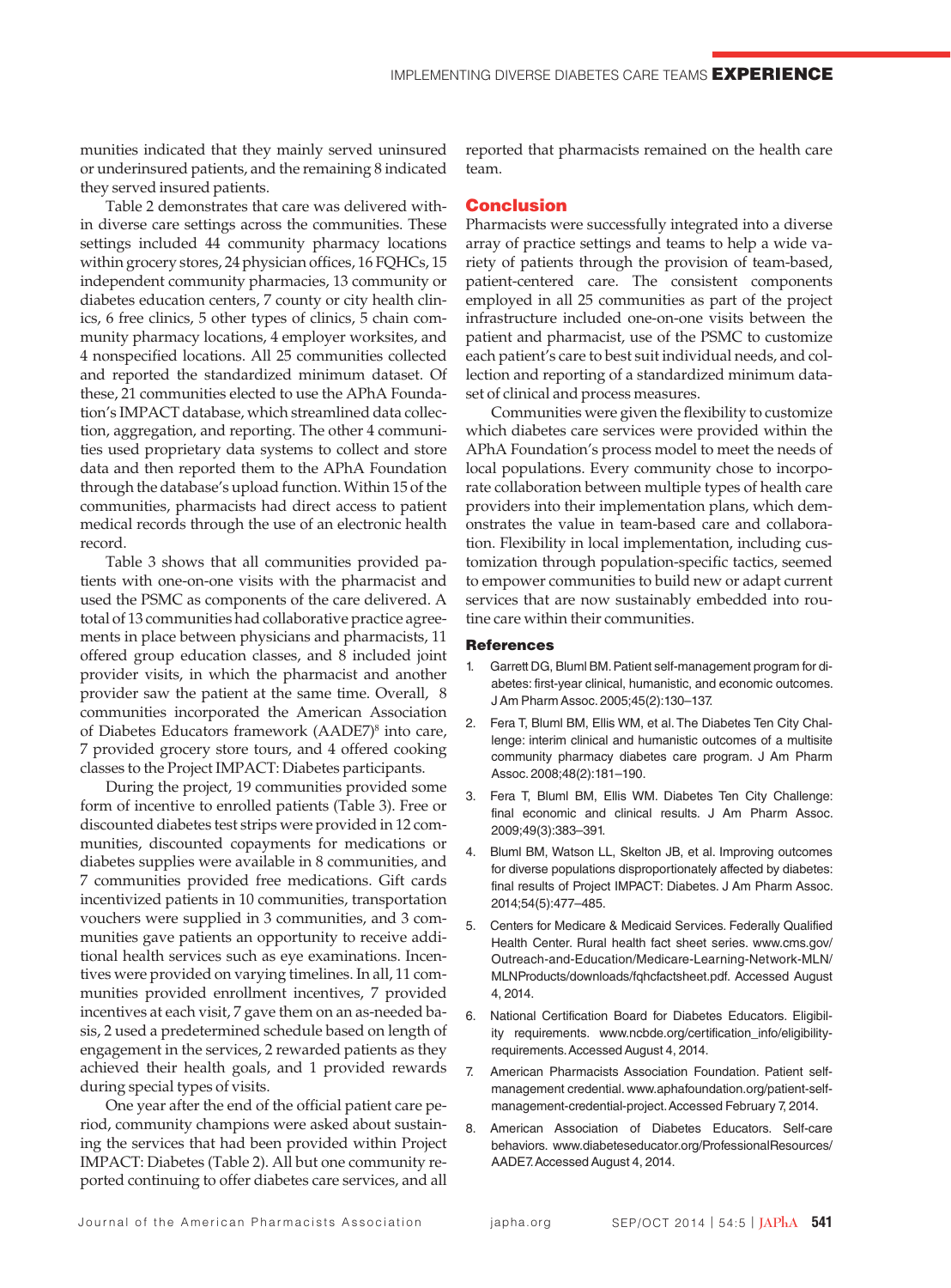munities indicated that they mainly served uninsured or underinsured patients, and the remaining 8 indicated they served insured patients.

Table 2 demonstrates that care was delivered within diverse care settings across the communities. These settings included 44 community pharmacy locations within grocery stores, 24 physician offices, 16 FQHCs, 15 independent community pharmacies, 13 community or diabetes education centers, 7 county or city health clinics, 6 free clinics, 5 other types of clinics, 5 chain community pharmacy locations, 4 employer worksites, and 4 nonspecified locations. All 25 communities collected and reported the standardized minimum dataset. Of these, 21 communities elected to use the APhA Foundation's IMPACT database, which streamlined data collection, aggregation, and reporting. The other 4 communities used proprietary data systems to collect and store data and then reported them to the APhA Foundation through the database's upload function. Within 15 of the communities, pharmacists had direct access to patient medical records through the use of an electronic health record.

Table 3 shows that all communities provided patients with one-on-one visits with the pharmacist and used the PSMC as components of the care delivered. A total of 13 communities had collaborative practice agreements in place between physicians and pharmacists, 11 offered group education classes, and 8 included joint provider visits, in which the pharmacist and another provider saw the patient at the same time. Overall, 8 communities incorporated the American Association of Diabetes Educators framework (AADE7)8 into care, 7 provided grocery store tours, and 4 offered cooking classes to the Project IMPACT: Diabetes participants.

During the project, 19 communities provided some form of incentive to enrolled patients (Table 3). Free or discounted diabetes test strips were provided in 12 communities, discounted copayments for medications or diabetes supplies were available in 8 communities, and 7 communities provided free medications. Gift cards incentivized patients in 10 communities, transportation vouchers were supplied in 3 communities, and 3 communities gave patients an opportunity to receive additional health services such as eye examinations. Incentives were provided on varying timelines. In all, 11 communities provided enrollment incentives, 7 provided incentives at each visit, 7 gave them on an as-needed basis, 2 used a predetermined schedule based on length of engagement in the services, 2 rewarded patients as they achieved their health goals, and 1 provided rewards during special types of visits.

One year after the end of the official patient care period, community champions were asked about sustaining the services that had been provided within Project IMPACT: Diabetes (Table 2). All but one community reported continuing to offer diabetes care services, and all reported that pharmacists remained on the health care team.

#### Conclusion

Pharmacists were successfully integrated into a diverse array of practice settings and teams to help a wide variety of patients through the provision of team-based, patient-centered care. The consistent components employed in all 25 communities as part of the project infrastructure included one-on-one visits between the patient and pharmacist, use of the PSMC to customize each patient's care to best suit individual needs, and collection and reporting of a standardized minimum dataset of clinical and process measures.

Communities were given the flexibility to customize which diabetes care services were provided within the APhA Foundation's process model to meet the needs of local populations. Every community chose to incorporate collaboration between multiple types of health care providers into their implementation plans, which demonstrates the value in team-based care and collaboration. Flexibility in local implementation, including customization through population-specific tactics, seemed to empower communities to build new or adapt current services that are now sustainably embedded into routine care within their communities.

#### **References**

- 1. Garrett DG, Bluml BM. Patient self-management program for diabetes: first-year clinical, humanistic, and economic outcomes. J Am Pharm Assoc. 2005;45(2):130–137.
- 2. Fera T, Bluml BM, Ellis WM, et al. The Diabetes Ten City Challenge: interim clinical and humanistic outcomes of a multisite community pharmacy diabetes care program. J Am Pharm Assoc. 2008;48(2):181–190.
- 3. Fera T, Bluml BM, Ellis WM. Diabetes Ten City Challenge: final economic and clinical results. J Am Pharm Assoc. 2009;49(3):383–391.
- 4. Bluml BM, Watson LL, Skelton JB, et al. Improving outcomes for diverse populations disproportionately affected by diabetes: final results of Project IMPACT: Diabetes. J Am Pharm Assoc. 2014;54(5):477–485.
- 5. Centers for Medicare & Medicaid Services. Federally Qualified Health Center. Rural health fact sheet series. www.cms.gov/ Outreach‐and‐Education/Medicare‐Learning‐Network‐MLN/ MLNProducts/downloads/fqhcfactsheet.pdf. Accessed August 4, 2014.
- 6. National Certification Board for Diabetes Educators. Eligibility requirements. www.ncbde.org/certification\_info/eligibility‐ requirements. Accessed August 4, 2014.
- 7. American Pharmacists Association Foundation. Patient selfmanagement credential. www.aphafoundation.org/patient‐self‐ management-credential-project. Accessed February 7, 2014.
- 8. American Association of Diabetes Educators. Self-care behaviors. www.diabeteseducator.org/ProfessionalResources/ AADE7. Accessed August 4, 2014.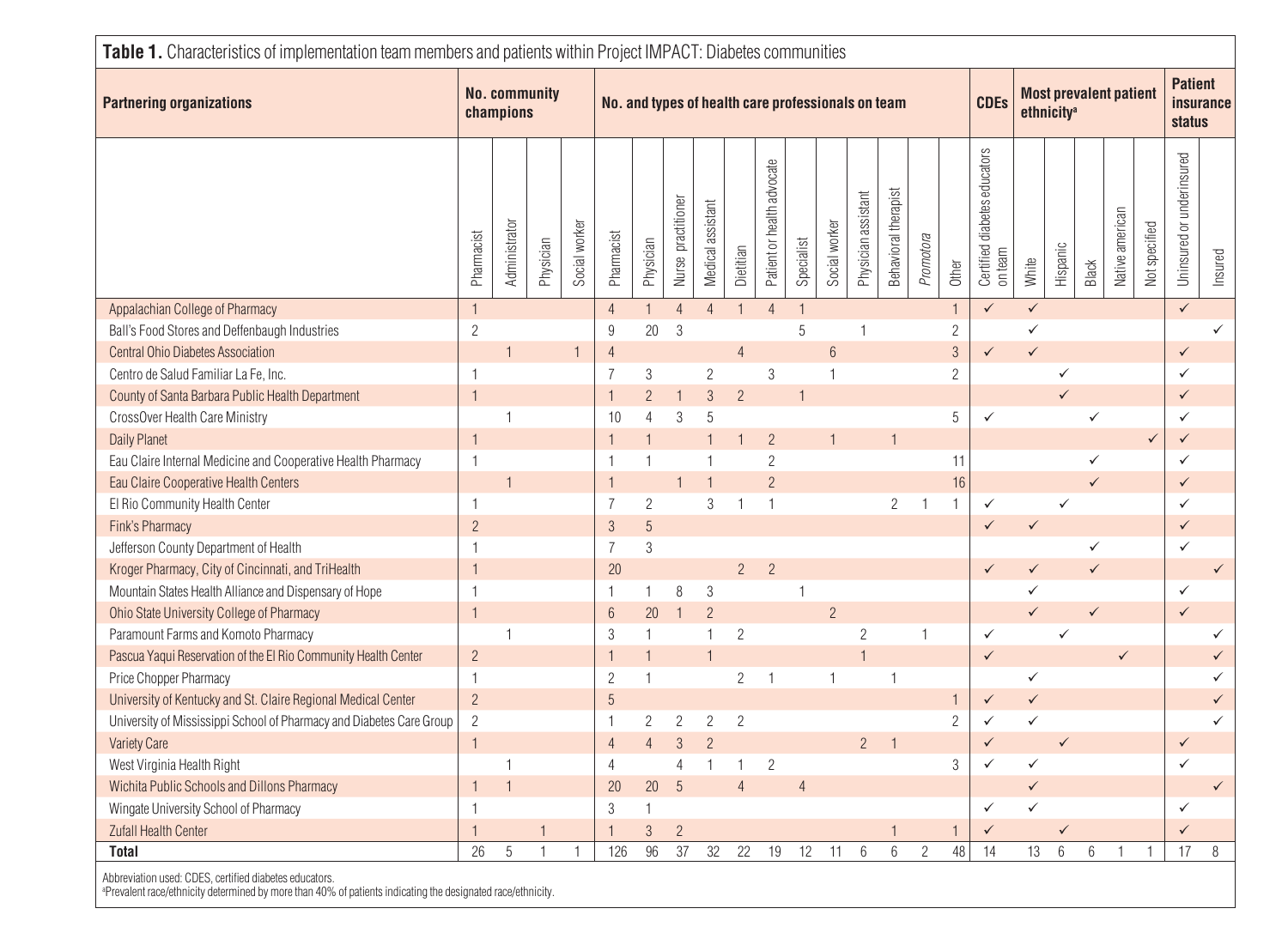| <b>Partnering organizations</b>                                      |                | <b>No. community</b><br>champions |              |               | No. and types of health care professionals on team |                 |                    |                   |                | <b>CDEs</b>                | <b>Most prevalent patient</b><br>ethnicity <sup>a</sup> |                |                     |                      |                | <b>Patient</b><br><b>insurance</b><br>status |                                         |              |                 |              |                 |               |                           |              |
|----------------------------------------------------------------------|----------------|-----------------------------------|--------------|---------------|----------------------------------------------------|-----------------|--------------------|-------------------|----------------|----------------------------|---------------------------------------------------------|----------------|---------------------|----------------------|----------------|----------------------------------------------|-----------------------------------------|--------------|-----------------|--------------|-----------------|---------------|---------------------------|--------------|
|                                                                      | Pharmacist     | Administrator                     | Physician    | Social worker | Pharmacist                                         | Physician       | Nurse practitioner | Medical assistant | Dietitian      | Patient or health advocate | Specialist                                              | Social worker  | Physician assistant | Behavioral therapist | Promotora      | Other                                        | Certified diabetes educators<br>on team | White        | Hispanic        | Black        | Native american | Not specified | Uninsured or underinsured | Insured      |
| Appalachian College of Pharmacy                                      | $\mathbf{1}$   |                                   |              |               | $\overline{4}$                                     | $\mathbf{1}$    | $\overline{4}$     | $\overline{4}$    | $\mathbf{1}$   | $\overline{4}$             | $\mathbf{1}$                                            |                |                     |                      |                | $\mathbf{1}$                                 | $\checkmark$                            | $\checkmark$ |                 |              |                 |               | $\checkmark$              |              |
| Ball's Food Stores and Deffenbaugh Industries                        | $\overline{c}$ |                                   |              |               | 9                                                  | 20              | $\mathfrak{Z}$     |                   |                |                            | $\,$ 5 $\,$                                             |                | $\mathbf{1}$        |                      |                | $\overline{c}$                               |                                         | $\checkmark$ |                 |              |                 |               |                           | $\checkmark$ |
| Central Ohio Diabetes Association                                    |                |                                   |              | $\mathbf{1}$  | $\overline{4}$                                     |                 |                    |                   | $\overline{4}$ |                            |                                                         | $6\,$          |                     |                      |                | $\mathfrak{S}$                               | $\checkmark$                            | $\checkmark$ |                 |              |                 |               | $\checkmark$              |              |
| Centro de Salud Familiar La Fe, Inc.                                 | $\mathbf{1}$   |                                   |              |               | $\overline{7}$                                     | $\mathfrak{Z}$  |                    | $\overline{c}$    |                | $\sqrt{3}$                 |                                                         | 1              |                     |                      |                | $\overline{2}$                               |                                         |              | ✓               |              |                 |               | $\checkmark$              |              |
| County of Santa Barbara Public Health Department                     | $\mathbf{1}$   |                                   |              |               | $\overline{1}$                                     | $\overline{2}$  |                    | $\mathfrak{Z}$    | $\overline{c}$ |                            |                                                         |                |                     |                      |                |                                              |                                         |              | ✓               |              |                 |               | $\checkmark$              |              |
| CrossOver Health Care Ministry                                       |                | 1                                 |              |               | 10                                                 | $\overline{4}$  | 3                  | $\sqrt{5}$        |                |                            |                                                         |                |                     |                      |                | 5                                            | $\checkmark$                            |              |                 | $\checkmark$ |                 |               | $\checkmark$              |              |
| <b>Daily Planet</b>                                                  | $\mathbf{1}$   |                                   |              |               |                                                    |                 |                    |                   |                | $\overline{2}$             |                                                         |                |                     | 1                    |                |                                              |                                         |              |                 |              |                 | $\checkmark$  | $\checkmark$              |              |
| Eau Claire Internal Medicine and Cooperative Health Pharmacy         | $\overline{1}$ |                                   |              |               | $\overline{1}$                                     |                 |                    |                   |                | $\overline{c}$             |                                                         |                |                     |                      |                | 11                                           |                                         |              |                 | $\checkmark$ |                 |               | $\checkmark$              |              |
| Eau Claire Cooperative Health Centers                                |                |                                   |              |               | $\overline{1}$                                     |                 |                    |                   |                | $\overline{2}$             |                                                         |                |                     |                      |                | 16                                           |                                         |              |                 | $\checkmark$ |                 |               | $\checkmark$              |              |
| El Rio Community Health Center                                       | $\overline{1}$ |                                   |              |               | $\overline{7}$                                     | $\overline{2}$  |                    | 3                 |                | $\overline{1}$             |                                                         |                |                     | $\overline{2}$       |                | $\mathbf{1}$                                 | $\checkmark$                            |              | ✓               |              |                 |               | $\checkmark$              |              |
| Fink's Pharmacy                                                      | $\overline{2}$ |                                   |              |               | $\mathfrak{S}$                                     | $5\overline{)}$ |                    |                   |                |                            |                                                         |                |                     |                      |                |                                              | $\checkmark$                            | $\checkmark$ |                 |              |                 |               | $\checkmark$              |              |
| Jefferson County Department of Health                                | $\mathbf{1}$   |                                   |              |               | $\overline{7}$                                     | $\sqrt{3}$      |                    |                   |                |                            |                                                         |                |                     |                      |                |                                              |                                         |              |                 | ✓            |                 |               | $\checkmark$              |              |
| Kroger Pharmacy, City of Cincinnati, and TriHealth                   | $\overline{1}$ |                                   |              |               | 20                                                 |                 |                    |                   | $\overline{2}$ | $\overline{2}$             |                                                         |                |                     |                      |                |                                              | $\checkmark$                            | $\checkmark$ |                 | $\checkmark$ |                 |               |                           | $\checkmark$ |
| Mountain States Health Alliance and Dispensary of Hope               | $\mathbf{1}$   |                                   |              |               | $\overline{1}$                                     | 1               | 8                  | $\mathfrak{Z}$    |                |                            |                                                         |                |                     |                      |                |                                              |                                         | $\checkmark$ |                 |              |                 |               | $\checkmark$              |              |
| Ohio State University College of Pharmacy                            | $\mathbf{1}$   |                                   |              |               | $6\phantom{1}6$                                    | 20              |                    | $\overline{2}$    |                |                            |                                                         | $\overline{2}$ |                     |                      |                |                                              |                                         | $\checkmark$ |                 | $\checkmark$ |                 |               | $\checkmark$              |              |
| Paramount Farms and Komoto Pharmacy                                  |                | 1                                 |              |               | 3                                                  | $\mathbf{1}$    |                    |                   | $\overline{2}$ |                            |                                                         |                | $\overline{c}$      |                      | 1              |                                              | $\checkmark$                            |              | ✓               |              |                 |               |                           | ✓            |
| Pascua Yaqui Reservation of the El Rio Community Health Center       | $\overline{c}$ |                                   |              |               | $\overline{1}$                                     |                 |                    |                   |                |                            |                                                         |                |                     |                      |                |                                              | $\checkmark$                            |              |                 |              | $\checkmark$    |               |                           | $\checkmark$ |
| Price Chopper Pharmacy                                               | 1              |                                   |              |               | $\overline{c}$                                     | 1               |                    |                   | $\overline{c}$ | -1                         |                                                         | 1              |                     | $\mathbf 1$          |                |                                              |                                         | ✓            |                 |              |                 |               |                           | $\checkmark$ |
| University of Kentucky and St. Claire Regional Medical Center        | $\overline{2}$ |                                   |              |               | 5                                                  |                 |                    |                   |                |                            |                                                         |                |                     |                      |                | $\mathbf{1}$                                 | $\checkmark$                            | $\checkmark$ |                 |              |                 |               |                           | $\checkmark$ |
| University of Mississippi School of Pharmacy and Diabetes Care Group | $\overline{c}$ |                                   |              |               | $\overline{1}$                                     | $\overline{2}$  | $\overline{2}$     | $\overline{c}$    | $\overline{c}$ |                            |                                                         |                |                     |                      |                | $\overline{c}$                               | $\checkmark$                            | $\checkmark$ |                 |              |                 |               |                           | $\checkmark$ |
| <b>Variety Care</b>                                                  | $\mathbf{1}$   |                                   |              |               | $\overline{4}$                                     | $\overline{4}$  | 3                  | $\overline{c}$    |                |                            |                                                         |                | $\overline{2}$      |                      |                |                                              | $\checkmark$                            |              | $\checkmark$    |              |                 |               | $\checkmark$              |              |
| West Virginia Health Right                                           |                | 1                                 |              |               | $\overline{4}$                                     |                 | $\overline{4}$     |                   |                | $\overline{c}$             |                                                         |                |                     |                      |                | $\sqrt{3}$                                   | $\checkmark$                            | $\checkmark$ |                 |              |                 |               | $\checkmark$              |              |
| Wichita Public Schools and Dillons Pharmacy                          | $\mathbf{1}$   |                                   |              |               | 20                                                 | 20              | 5                  |                   | $\overline{4}$ |                            | $\overline{4}$                                          |                |                     |                      |                |                                              |                                         | $\checkmark$ |                 |              |                 |               |                           | $\checkmark$ |
| Wingate University School of Pharmacy                                | $\mathbf{1}$   |                                   |              |               | 3                                                  |                 |                    |                   |                |                            |                                                         |                |                     |                      |                |                                              | ✓                                       | $\checkmark$ |                 |              |                 |               | $\checkmark$              |              |
| <b>Zufall Health Center</b>                                          | $\overline{1}$ |                                   | $\mathbf 1$  |               | $\overline{1}$                                     | $\mathfrak{S}$  | $\overline{c}$     |                   |                |                            |                                                         |                |                     | 1                    |                | $\mathbf{1}$                                 | $\checkmark$                            |              | ✓               |              |                 |               | $\checkmark$              |              |
| <b>Total</b>                                                         | 26             | $\sqrt{5}$                        | $\mathbf{1}$ | $\mathbf{1}$  | 126                                                | 96              | 37                 | 32                | 22             | 19                         | 12                                                      | 11             | 6                   | $6\,$                | $\overline{2}$ | 48                                           | 14                                      | 13           | $6\phantom{1}6$ | $6\,$        | $\mathbf{1}$    | $\mathbf{1}$  | 17                        | $\, 8$       |

aPrevalent race/ethnicity determined by more than 40% of patients indicating the designated race/ethnicity.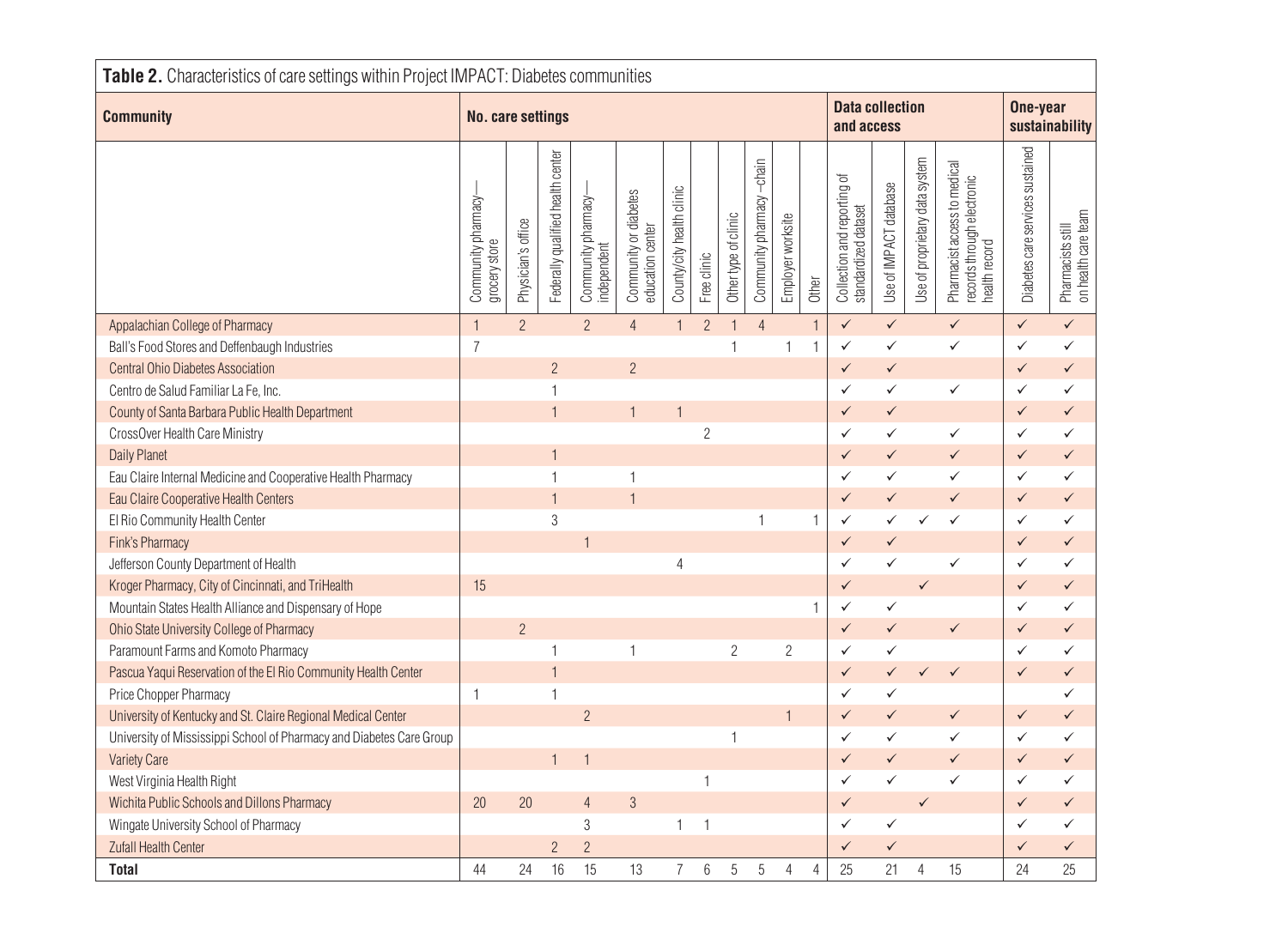| Table 2. Characteristics of care settings within Project IMPACT: Diabetes communities |                                      |                    |                                   |                                    |                                           |                           |                    |                      |                          |                   |                |                                                     |                        |                                |                                                                             |                                  |                                          |
|---------------------------------------------------------------------------------------|--------------------------------------|--------------------|-----------------------------------|------------------------------------|-------------------------------------------|---------------------------|--------------------|----------------------|--------------------------|-------------------|----------------|-----------------------------------------------------|------------------------|--------------------------------|-----------------------------------------------------------------------------|----------------------------------|------------------------------------------|
| <b>Community</b>                                                                      | No. care settings                    |                    |                                   |                                    |                                           |                           |                    |                      |                          |                   |                | <b>Data collection</b><br>and access                |                        | One-year<br>sustainability     |                                                                             |                                  |                                          |
|                                                                                       | Community pharmacy-<br>grocery store | Physician's office | Federally qualified health center | Community pharmacy-<br>independent | Community or diabetes<br>education center | County/city health clinic | <b>Free clinic</b> | Other type of clinic | Community pharmacy-chain | Employer worksite | Other          | Collection and reporting of<br>standardized dataset | Use of IMPACT database | Use of proprietary data system | Pharmacist access to medical<br>records through electronic<br>health record | Diabetes care services sustained | Pharmacists still<br>on health care team |
| Appalachian College of Pharmacy                                                       | $\mathbf{1}$                         | $\overline{2}$     |                                   | $\overline{2}$                     | $\overline{4}$                            | $\overline{1}$            | $\overline{2}$     | $\overline{1}$       | $\overline{4}$           |                   | $\mathbf{1}$   | $\checkmark$                                        | $\checkmark$           |                                | $\checkmark$                                                                | $\checkmark$                     | $\checkmark$                             |
| Ball's Food Stores and Deffenbaugh Industries                                         | $\overline{7}$                       |                    |                                   |                                    |                                           |                           |                    | $\overline{1}$       |                          | 1                 | $\mathbf{1}$   | $\checkmark$                                        | $\checkmark$           |                                | $\checkmark$                                                                | $\checkmark$                     | $\checkmark$                             |
| <b>Central Ohio Diabetes Association</b>                                              |                                      |                    | $\overline{c}$                    |                                    | $\overline{2}$                            |                           |                    |                      |                          |                   |                | $\checkmark$                                        | $\checkmark$           |                                |                                                                             | $\checkmark$                     | $\checkmark$                             |
| Centro de Salud Familiar La Fe, Inc.                                                  |                                      |                    | $\mathbf{1}$                      |                                    |                                           |                           |                    |                      |                          |                   |                | $\checkmark$                                        | $\checkmark$           |                                | $\checkmark$                                                                | $\checkmark$                     | $\checkmark$                             |
| County of Santa Barbara Public Health Department                                      |                                      |                    | $\mathbf{1}$                      |                                    | $\mathbf{1}$                              |                           |                    |                      |                          |                   |                | $\checkmark$                                        | $\checkmark$           |                                |                                                                             | $\checkmark$                     | $\checkmark$                             |
| CrossOver Health Care Ministry                                                        |                                      |                    |                                   |                                    |                                           |                           | $\overline{2}$     |                      |                          |                   |                | $\checkmark$                                        | $\checkmark$           |                                | $\checkmark$                                                                | $\checkmark$                     | $\checkmark$                             |
| Daily Planet                                                                          |                                      |                    | $\mathbf{1}$                      |                                    |                                           |                           |                    |                      |                          |                   |                | $\checkmark$                                        | $\checkmark$           |                                | $\checkmark$                                                                | $\checkmark$                     | $\checkmark$                             |
| Eau Claire Internal Medicine and Cooperative Health Pharmacy                          |                                      |                    | 1                                 |                                    | 1                                         |                           |                    |                      |                          |                   |                | $\checkmark$                                        | $\checkmark$           |                                | $\checkmark$                                                                | $\checkmark$                     | $\checkmark$                             |
| Eau Claire Cooperative Health Centers                                                 |                                      |                    | $\mathbf{1}$                      |                                    | $\mathbf{1}$                              |                           |                    |                      |                          |                   |                | $\checkmark$                                        | $\checkmark$           |                                | $\checkmark$                                                                | $\checkmark$                     | $\checkmark$                             |
| El Rio Community Health Center                                                        |                                      |                    | 3                                 |                                    |                                           |                           |                    |                      | 1                        |                   |                | $\checkmark$                                        | ✓                      | ✓                              | $\checkmark$                                                                | $\checkmark$                     | $\checkmark$                             |
| Fink's Pharmacy                                                                       |                                      |                    |                                   |                                    |                                           |                           |                    |                      |                          |                   |                | $\checkmark$                                        | $\checkmark$           |                                |                                                                             | $\checkmark$                     | $\checkmark$                             |
| Jefferson County Department of Health                                                 |                                      |                    |                                   |                                    |                                           | $\overline{4}$            |                    |                      |                          |                   |                | $\checkmark$                                        | ✓                      |                                | $\checkmark$                                                                | $\checkmark$                     | $\checkmark$                             |
| Kroger Pharmacy, City of Cincinnati, and TriHealth                                    | 15                                   |                    |                                   |                                    |                                           |                           |                    |                      |                          |                   |                | $\checkmark$                                        |                        | $\checkmark$                   |                                                                             | $\checkmark$                     | $\checkmark$                             |
| Mountain States Health Alliance and Dispensary of Hope                                |                                      |                    |                                   |                                    |                                           |                           |                    |                      |                          |                   | 1              | $\checkmark$                                        | $\checkmark$           |                                |                                                                             | $\checkmark$                     | $\checkmark$                             |
| Ohio State University College of Pharmacy                                             |                                      | $\overline{2}$     |                                   |                                    |                                           |                           |                    |                      |                          |                   |                | $\checkmark$                                        | $\checkmark$           |                                | $\checkmark$                                                                | $\checkmark$                     | $\checkmark$                             |
| Paramount Farms and Komoto Pharmacy                                                   |                                      |                    | 1                                 |                                    | $\mathbf{1}$                              |                           |                    | $\overline{c}$       |                          | $\overline{c}$    |                | $\checkmark$                                        | $\checkmark$           |                                |                                                                             | $\checkmark$                     | $\checkmark$                             |
| Pascua Yaqui Reservation of the El Rio Community Health Center                        |                                      |                    | $\mathbf{1}$                      |                                    |                                           |                           |                    |                      |                          |                   |                | $\checkmark$                                        | $\checkmark$           | $\checkmark$                   | $\checkmark$                                                                | $\checkmark$                     | $\checkmark$                             |
| Price Chopper Pharmacy                                                                | $\mathbf{1}$                         |                    | $\mathbf{1}$                      |                                    |                                           |                           |                    |                      |                          |                   |                | $\checkmark$                                        | ✓                      |                                |                                                                             |                                  | $\checkmark$                             |
| University of Kentucky and St. Claire Regional Medical Center                         |                                      |                    |                                   | $\overline{c}$                     |                                           |                           |                    |                      |                          |                   |                | $\checkmark$                                        | $\checkmark$           |                                | $\checkmark$                                                                | $\checkmark$                     | $\checkmark$                             |
| University of Mississippi School of Pharmacy and Diabetes Care Group                  |                                      |                    |                                   |                                    |                                           |                           |                    | $\mathbf{1}$         |                          |                   |                | $\checkmark$                                        | $\checkmark$           |                                | $\checkmark$                                                                | $\checkmark$                     | $\checkmark$                             |
| <b>Variety Care</b>                                                                   |                                      |                    | $\mathbf{1}$                      |                                    |                                           |                           |                    |                      |                          |                   |                | $\checkmark$                                        | $\checkmark$           |                                | $\checkmark$                                                                | $\checkmark$                     | $\checkmark$                             |
| West Virginia Health Right                                                            |                                      |                    |                                   |                                    |                                           |                           | 1                  |                      |                          |                   |                | $\checkmark$                                        | ✓                      |                                | ✓                                                                           | $\checkmark$                     | $\checkmark$                             |
| Wichita Public Schools and Dillons Pharmacy                                           | 20                                   | 20                 |                                   | $\overline{4}$                     | $\mathfrak{Z}$                            |                           |                    |                      |                          |                   |                | $\checkmark$                                        |                        | $\checkmark$                   |                                                                             | $\checkmark$                     | $\checkmark$                             |
| Wingate University School of Pharmacy                                                 |                                      |                    |                                   | $\mathfrak{Z}$                     |                                           | 1                         | $\mathbf{1}$       |                      |                          |                   |                | $\checkmark$                                        | $\checkmark$           |                                |                                                                             | $\checkmark$                     | $\checkmark$                             |
| Zufall Health Center                                                                  |                                      |                    | $\overline{2}$                    | $\overline{c}$                     |                                           |                           |                    |                      |                          |                   |                | $\checkmark$                                        | ✓                      |                                |                                                                             | $\checkmark$                     | $\checkmark$                             |
| <b>Total</b>                                                                          | 44                                   | 24                 | 16                                | 15                                 | 13                                        | $\overline{7}$            | $6\,$              | 5                    | 5                        | 4                 | $\overline{4}$ | 25                                                  | 21                     | 4                              | 15                                                                          | 24                               | 25                                       |